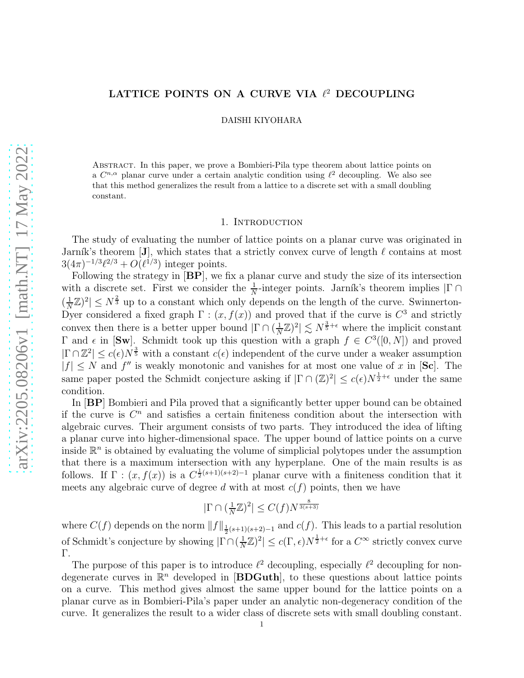## LATTICE POINTS ON A CURVE VIA  $\ell^2$  DECOUPLING

DAISHI KIYOHARA

Abstract. In this paper, we prove a Bombieri-Pila type theorem about lattice points on a  $C^{n,\alpha}$  planar curve under a certain analytic condition using  $\ell^2$  decoupling. We also see that this method generalizes the result from a lattice to a discrete set with a small doubling constant.

## 1. INTRODUCTION

The study of evaluating the number of lattice points on a planar curve was originated in Jarník's theorem [J], which states that a strictly convex curve of length  $\ell$  contains at most  $3(4\pi)^{-1/3}\ell^{2/3} + O(\ell^{1/3})$  integer points.

Following the strategy in [BP], we fix a planar curve and study the size of its intersection with a discrete set. First we consider the  $\frac{1}{N}$ -integer points. Jarník's theorem implies  $|\Gamma \cap$  $\left(\frac{1}{\lambda}\right)$  $\frac{1}{N}\mathbb{Z}^2 \leq N^{\frac{2}{3}}$  up to a constant which only depends on the length of the curve. Swinnerton-Dyer considered a fixed graph  $\Gamma$ :  $(x, f(x))$  and proved that if the curve is  $C^3$  and strictly convex then there is a better upper bound  $|\Gamma \cap (\frac{1}{N})|$  $\frac{1}{N}\mathbb{Z}^2\left|\right.\lesssim N^{\frac{3}{5}+\epsilon}$  where the implicit constant Γ and *ε* in [Sw]. Schmidt took up this question with a graph  $f \in C^3([0, N])$  and proved  $|\Gamma \cap \mathbb{Z}^2| \leq c(\epsilon) N^{\frac{3}{5}}$  with a constant  $c(\epsilon)$  independent of the curve under a weaker assumption  $|f| \leq N$  and  $f''$  is weakly monotonic and vanishes for at most one value of x in [Sc]. The same paper posted the Schmidt conjecture asking if  $|\Gamma \cap (\mathbb{Z})^2| \leq c(\epsilon) N^{\frac{1}{2}+\epsilon}$  under the same condition.

In [BP] Bombieri and Pila proved that a significantly better upper bound can be obtained if the curve is  $C<sup>n</sup>$  and satisfies a certain finiteness condition about the intersection with algebraic curves. Their argument consists of two parts. They introduced the idea of lifting a planar curve into higher-dimensional space. The upper bound of lattice points on a curve inside  $\mathbb{R}^n$  is obtained by evaluating the volume of simplicial polytopes under the assumption that there is a maximum intersection with any hyperplane. One of the main results is as follows. If  $\Gamma$  :  $(x, f(x))$  is a  $C^{\frac{1}{2}(s+1)(s+2)-1}$  planar curve with a finiteness condition that it meets any algebraic curve of degree d with at most  $c(f)$  points, then we have

$$
|\Gamma \cap (\tfrac{1}{N}\mathbb{Z})^2| \le C(f)N^{\frac{8}{3(s+3)}}
$$

where  $C(f)$  depends on the norm  $||f||_{\frac{1}{2}(s+1)(s+2)-1}$  and  $c(f)$ . This leads to a partial resolution of Schmidt's conjecture by showing  $|\Gamma \cap (\frac{1}{N})|$  $\frac{1}{N}\mathbb{Z}^2\leq c(\Gamma,\epsilon)N^{\frac{1}{2}+\epsilon}$  for a  $C^{\infty}$  strictly convex curve Γ.

The purpose of this paper is to introduce  $\ell^2$  decoupling, especially  $\ell^2$  decoupling for nondegenerate curves in  $\mathbb{R}^n$  developed in [BDGuth], to these questions about lattice points on a curve. This method gives almost the same upper bound for the lattice points on a planar curve as in Bombieri-Pila's paper under an analytic non-degeneracy condition of the curve. It generalizes the result to a wider class of discrete sets with small doubling constant.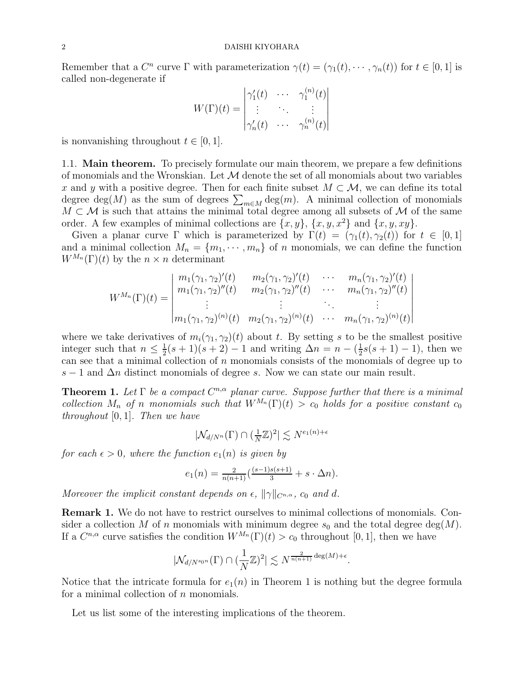Remember that a  $C^n$  curve  $\Gamma$  with parameterization  $\gamma(t) = (\gamma_1(t), \cdots, \gamma_n(t))$  for  $t \in [0, 1]$  is called non-degenerate if

$$
W(\Gamma)(t) = \begin{vmatrix} \gamma_1'(t) & \cdots & \gamma_1^{(n)}(t) \\ \vdots & \ddots & \vdots \\ \gamma_n'(t) & \cdots & \gamma_n^{(n)}(t) \end{vmatrix}
$$

is nonvanishing throughout  $t \in [0, 1]$ .

1.1. Main theorem. To precisely formulate our main theorem, we prepare a few definitions of monomials and the Wronskian. Let  $\mathcal M$  denote the set of all monomials about two variables x and y with a positive degree. Then for each finite subset  $M \subset \mathcal{M}$ , we can define its total degree deg(M) as the sum of degrees  $\sum_{m\in M} \deg(m)$ . A minimal collection of monomials  $M \subset \mathcal{M}$  is such that attains the minimal total degree among all subsets of  $\mathcal{M}$  of the same order. A few examples of minimal collections are  $\{x, y\}$ ,  $\{x, y, x^2\}$  and  $\{x, y, xy\}$ .

Given a planar curve Γ which is parameterized by  $\Gamma(t) = (\gamma_1(t), \gamma_2(t))$  for  $t \in [0, 1]$ and a minimal collection  $M_n = \{m_1, \dots, m_n\}$  of n monomials, we can define the function  $W^{M_n}(\Gamma)(t)$  by the  $n \times n$  determinant

$$
W^{M_n}(\Gamma)(t) = \begin{vmatrix} m_1(\gamma_1, \gamma_2)'(t) & m_2(\gamma_1, \gamma_2)'(t) & \cdots & m_n(\gamma_1, \gamma_2)'(t) \\ m_1(\gamma_1, \gamma_2)''(t) & m_2(\gamma_1, \gamma_2)''(t) & \cdots & m_n(\gamma_1, \gamma_2)''(t) \\ \vdots & \vdots & \ddots & \vdots \\ m_1(\gamma_1, \gamma_2)^{(n)}(t) & m_2(\gamma_1, \gamma_2)^{(n)}(t) & \cdots & m_n(\gamma_1, \gamma_2)^{(n)}(t) \end{vmatrix}
$$

where we take derivatives of  $m_i(\gamma_1, \gamma_2)(t)$  about t. By setting s to be the smallest positive integer such that  $n \leq \frac{1}{2}$  $\frac{1}{2}(s+1)(s+2) - 1$  and writing  $\Delta n = n - (\frac{1}{2})$  $\frac{1}{2}s(s+1)-1$ , then we can see that a minimal collection of  $n$  monomials consists of the monomials of degree up to s − 1 and  $\Delta n$  distinct monomials of degree s. Now we can state our main result.

**Theorem 1.** Let  $\Gamma$  be a compact  $C^{n,\alpha}$  planar curve. Suppose further that there is a minimal collection  $M_n$  of n monomials such that  $W^{M_n}(\Gamma)(t) > c_0$  holds for a positive constant  $c_0$ throughout  $[0, 1]$ . Then we have

$$
|\mathcal{N}_{d/N^n}(\Gamma) \cap (\frac{1}{N}\mathbb{Z})^2| \lesssim N^{e_1(n) + \epsilon}
$$

for each  $\epsilon > 0$ , where the function  $e_1(n)$  is given by

$$
e_1(n) = \frac{2}{n(n+1)} \left( \frac{(s-1)s(s+1)}{3} + s \cdot \Delta n \right).
$$

Moreover the implicit constant depends on  $\epsilon$ ,  $\|\gamma\|_{C^{n,\alpha}}$ ,  $c_0$  and d.

Remark 1. We do not have to restrict ourselves to minimal collections of monomials. Consider a collection M of n monomials with minimum degree  $s_0$  and the total degree deg(M). If a  $C^{n,\alpha}$  curve satisfies the condition  $W^{M_n}(\Gamma)(t) > c_0$  throughout [0, 1], then we have

$$
|\mathcal{N}_{d/N^{s_0 n}}(\Gamma) \cap (\frac{1}{N}\mathbb{Z})^2| \lesssim N^{\frac{2}{n(n+1)}\deg(M)+\epsilon}.
$$

Notice that the intricate formula for  $e_1(n)$  in Theorem 1 is nothing but the degree formula for a minimal collection of  $n$  monomials.

Let us list some of the interesting implications of the theorem.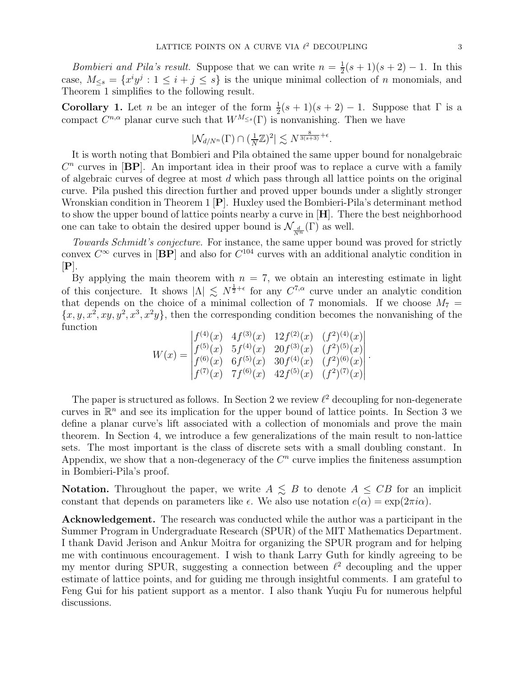*Bombieri and Pila's result.* Suppose that we can write  $n = \frac{1}{2}$  $\frac{1}{2}(s+1)(s+2)-1$ . In this case,  $M_{\leq s} = \{x^i y^j : 1 \leq i + j \leq s\}$  is the unique minimal collection of *n* monomials, and Theorem 1 simplifies to the following result.

**Corollary 1.** Let *n* be an integer of the form  $\frac{1}{2}(s+1)(s+2) - 1$ . Suppose that  $\Gamma$  is a compact  $C^{n,\alpha}$  planar curve such that  $W^{M_{\leq s}}(\Gamma)$  is nonvanishing. Then we have

$$
|\mathcal{N}_{d/N^n}(\Gamma) \cap (\frac{1}{N}\mathbb{Z})^2| \lesssim N^{\frac{8}{3(s+3)} + \epsilon}.
$$

It is worth noting that Bombieri and Pila obtained the same upper bound for nonalgebraic  $C<sup>n</sup>$  curves in  $[BP]$ . An important idea in their proof was to replace a curve with a family of algebraic curves of degree at most  $d$  which pass through all lattice points on the original curve. Pila pushed this direction further and proved upper bounds under a slightly stronger Wronskian condition in Theorem 1 [P]. Huxley used the Bombieri-Pila's determinant method to show the upper bound of lattice points nearby a curve in [H]. There the best neighborhood one can take to obtain the desired upper bound is  $\mathcal{N}_{\frac{d}{N^n}}(\Gamma)$  as well.

Towards Schmidt's conjecture. For instance, the same upper bound was proved for strictly convex  $C^{\infty}$  curves in [BP] and also for  $C^{104}$  curves with an additional analytic condition in  $[P]$ .

By applying the main theorem with  $n = 7$ , we obtain an interesting estimate in light of this conjecture. It shows  $|\Lambda| \leq N^{\frac{1}{2}+\epsilon}$  for any  $C^{7,\alpha}$  curve under an analytic condition that depends on the choice of a minimal collection of 7 monomials. If we choose  $M_7$  =  $\{x, y, x^2, xy, y^2, x^3, x^2y\}$ , then the corresponding condition becomes the nonvanishing of the function

$$
W(x) = \begin{vmatrix} f^{(4)}(x) & 4f^{(3)}(x) & 12f^{(2)}(x) & (f^2)^{(4)}(x) \\ f^{(5)}(x) & 5f^{(4)}(x) & 20f^{(3)}(x) & (f^2)^{(5)}(x) \\ f^{(6)}(x) & 6f^{(5)}(x) & 30f^{(4)}(x) & (f^2)^{(6)}(x) \\ f^{(7)}(x) & 7f^{(6)}(x) & 42f^{(5)}(x) & (f^2)^{(7)}(x) \end{vmatrix}.
$$

The paper is structured as follows. In Section 2 we review  $\ell^2$  decoupling for non-degenerate curves in  $\mathbb{R}^n$  and see its implication for the upper bound of lattice points. In Section 3 we define a planar curve's lift associated with a collection of monomials and prove the main theorem. In Section 4, we introduce a few generalizations of the main result to non-lattice sets. The most important is the class of discrete sets with a small doubling constant. In Appendix, we show that a non-degeneracy of the  $C<sup>n</sup>$  curve implies the finiteness assumption in Bombieri-Pila's proof.

**Notation.** Throughout the paper, we write  $A \leq B$  to denote  $A \leq CB$  for an implicit constant that depends on parameters like  $\epsilon$ . We also use notation  $e(\alpha) = \exp(2\pi i \alpha)$ .

Acknowledgement. The research was conducted while the author was a participant in the Summer Program in Undergraduate Research (SPUR) of the MIT Mathematics Department. I thank David Jerison and Ankur Moitra for organizing the SPUR program and for helping me with continuous encouragement. I wish to thank Larry Guth for kindly agreeing to be my mentor during SPUR, suggesting a connection between  $\ell^2$  decoupling and the upper estimate of lattice points, and for guiding me through insightful comments. I am grateful to Feng Gui for his patient support as a mentor. I also thank Yuqiu Fu for numerous helpful discussions.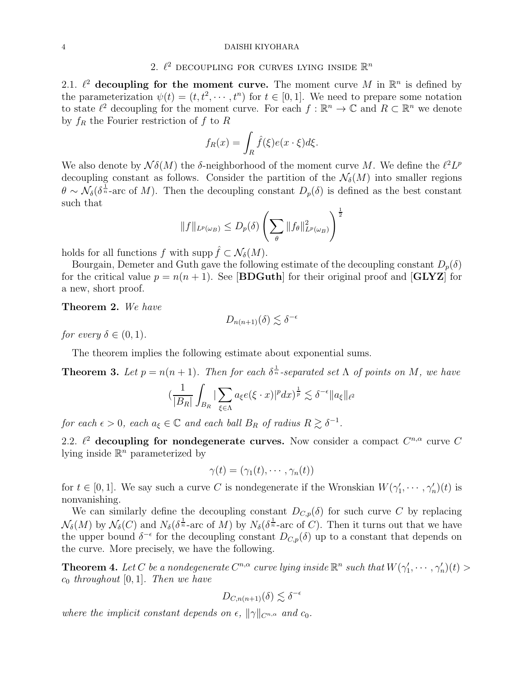#### 4 DAISHI KIYOHARA

# 2.  $\ell^2$  decoupling for curves lying inside  $\mathbb{R}^n$

2.1.  $\ell^2$  decoupling for the moment curve. The moment curve M in  $\mathbb{R}^n$  is defined by the parameterization  $\psi(t) = (t, t^2, \dots, t^n)$  for  $t \in [0, 1]$ . We need to prepare some notation to state  $\ell^2$  decoupling for the moment curve. For each  $f : \mathbb{R}^n \to \mathbb{C}$  and  $R \subset \mathbb{R}^n$  we denote by  $f_R$  the Fourier restriction of f to R

$$
f_R(x) = \int_R \hat{f}(\xi)e(x \cdot \xi)d\xi.
$$

We also denote by  $\mathcal{N}\delta(M)$  the  $\delta$ -neighborhood of the moment curve M. We define the  $\ell^2 L^p$ decoupling constant as follows. Consider the partition of the  $\mathcal{N}_{\delta}(M)$  into smaller regions  $\theta \sim \mathcal{N}_{\delta}(\delta^{\frac{1}{n}}$ -arc of M). Then the decoupling constant  $D_p(\delta)$  is defined as the best constant such that

$$
||f||_{L^p(\omega_B)} \le D_p(\delta) \left(\sum_{\theta} ||f_{\theta}||^2_{L^p(\omega_B)}\right)^{\frac{1}{2}}
$$

holds for all functions f with supp  $f \subset \mathcal{N}_{\delta}(M)$ .

Bourgain, Demeter and Guth gave the following estimate of the decoupling constant  $D_p(\delta)$ for the critical value  $p = n(n + 1)$ . See [BDGuth] for their original proof and [GLYZ] for a new, short proof.

Theorem 2. We have

$$
D_{n(n+1)}(\delta) \lesssim \delta^{-\epsilon}
$$

for every  $\delta \in (0,1)$ .

The theorem implies the following estimate about exponential sums.

**Theorem 3.** Let  $p = n(n + 1)$ . Then for each  $\delta^{\frac{1}{n}}$ -separated set  $\Lambda$  of points on M, we have

$$
\left(\frac{1}{|B_R|}\int_{B_R}\big|\sum_{\xi\in\Lambda}a_\xi e(\xi\cdot x)\big|^pdx\right)^{\frac{1}{p}}\lesssim \delta^{-\epsilon}\|a_\xi\|_{\ell^2}
$$

for each  $\epsilon > 0$ , each  $a_{\xi} \in \mathbb{C}$  and each ball  $B_R$  of radius  $R \gtrsim \delta^{-1}$ .

2.2.  $\ell^2$  decoupling for nondegenerate curves. Now consider a compact  $C^{n,\alpha}$  curve C lying inside  $\mathbb{R}^n$  parameterized by

$$
\gamma(t)=(\gamma_1(t),\cdots,\gamma_n(t))
$$

for  $t \in [0,1]$ . We say such a curve C is nondegenerate if the Wronskian  $W(\gamma_1', \dots', \gamma_n')$  (t) is nonvanishing.

We can similarly define the decoupling constant  $D_{C,p}(\delta)$  for such curve C by replacing  $\mathcal{N}_{\delta}(M)$  by  $\mathcal{N}_{\delta}(C)$  and  $N_{\delta}(\delta^{\frac{1}{n}}$ -arc of M) by  $N_{\delta}(\delta^{\frac{1}{n}}$ -arc of C). Then it turns out that we have the upper bound  $\delta^{-\epsilon}$  for the decoupling constant  $D_{C,p}(\delta)$  up to a constant that depends on the curve. More precisely, we have the following.

**Theorem 4.** Let C be a nondegenerate  $C^{n,\alpha}$  curve lying inside  $\mathbb{R}^n$  such that  $W(\gamma_1',\dots,\gamma_n')(t) >$  $c_0$  throughout [0, 1]. Then we have

$$
D_{C,n(n+1)}(\delta) \lesssim \delta^{-\epsilon}
$$

where the implicit constant depends on  $\epsilon$ ,  $\|\gamma\|_{C^{n,\alpha}}$  and  $c_0$ .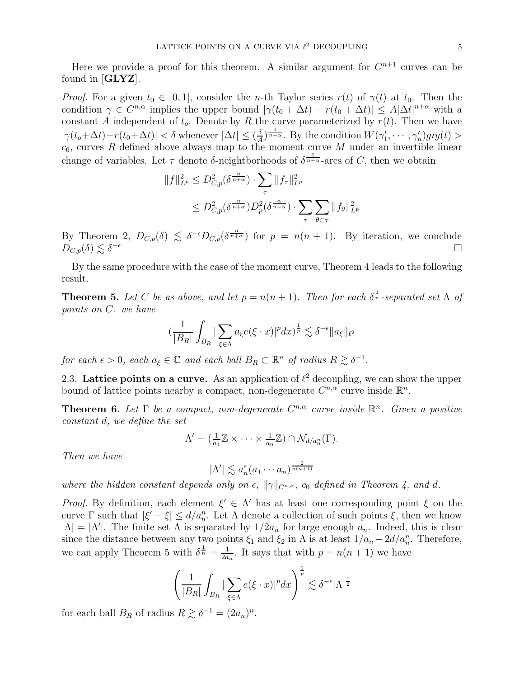Here we provide a proof for this theorem. A similar argument for  $C^{n+1}$  curves can be found in  $[GLYZ]$ .

*Proof.* For a given  $t_0 \in [0, 1]$ , consider the *n*-th Taylor series  $r(t)$  of  $\gamma(t)$  at  $t_0$ . Then the condition  $\gamma \in C^{n,\alpha}$  implies the upper bound  $|\gamma(t_0 + \Delta t) - r(t_0 + \Delta t)| \leq A |\Delta t|^{n+\alpha}$  with a constant A independent of  $t_o$ . Denote by R the curve parameterized by  $r(t)$ . Then we have  $|\gamma(t_o + \Delta t) - r(t_0 + \Delta t)| < \delta$  whenever  $|\Delta t| \leq (\frac{\delta}{A})$  $\frac{\delta}{A}$ )  $\frac{1}{n+\alpha}$ . By the condition  $W(\gamma'_1, \dots, \gamma'_n)$  give  $(t)$  $c_0$ , curves R defined above always map to the moment curve M under an invertible linear change of variables. Let  $\tau$  denote  $\delta$ -neightborhoods of  $\delta^{\frac{1}{n+\alpha}}$ -arcs of C, then we obtain

$$
||f||_{L^p}^2 \le D_{C,p}^2(\delta^{\frac{n}{n+\alpha}}) \cdot \sum_{\tau} ||f_{\tau}||_{L^p}^2
$$
  

$$
\le D_{C,p}^2(\delta^{\frac{n}{n+\alpha}})D_p^2(\delta^{\frac{\alpha}{n+\alpha}}) \cdot \sum_{\tau} \sum_{\theta \subset \tau} ||f_{\theta}||_{L^p}^2
$$

By Theorem 2,  $D_{C,p}(\delta) \leq \delta^{-\epsilon} D_{C,p}(\delta^{\frac{n}{n+\alpha}})$  for  $p = n(n+1)$ . By iteration, we conclude  $D_{C,p}(\delta) \lesssim \delta^{-\epsilon}$  $-\epsilon$ 

By the same procedure with the case of the moment curve, Theorem 4 leads to the following result.

**Theorem 5.** Let C be as above, and let  $p = n(n + 1)$ . Then for each  $\delta^{\frac{1}{n}}$ -separated set  $\Lambda$  of points on C. we have

$$
(\frac{1}{|B_R|}\int_{B_R}|\sum_{\xi\in\Lambda}a_{\xi}e(\xi\cdot x)|^pdx)^{\frac{1}{p}}\lesssim \delta^{-\epsilon}\|a_{\xi}\|_{\ell^2}
$$

for each  $\epsilon > 0$ , each  $a_{\xi} \in \mathbb{C}$  and each ball  $B_R \subset \mathbb{R}^n$  of radius  $R \gtrsim \delta^{-1}$ .

2.3. Lattice points on a curve. As an application of  $\ell^2$  decoupling, we can show the upper bound of lattice points nearby a compact, non-degenerate  $C^{n,\alpha}$  curve inside  $\mathbb{R}^n$ .

**Theorem 6.** Let  $\Gamma$  be a compact, non-degenerate  $C^{n,\alpha}$  curve inside  $\mathbb{R}^n$ . Given a positive constant d, we define the set

$$
\Lambda' = (\frac{1}{a_1}\mathbb{Z} \times \cdots \times \frac{1}{a_n}\mathbb{Z}) \cap \mathcal{N}_{d/a_n^n}(\Gamma).
$$

Then we have

$$
|\Lambda'| \lesssim a_n^{\epsilon} (a_1 \cdots a_n)^{\frac{2}{n(n+1)}}
$$

where the hidden constant depends only on  $\epsilon$ ,  $\|\gamma\|_{C^{n,\alpha}}$ ,  $c_0$  defined in Theorem 4, and d.

*Proof.* By definition, each element  $\xi' \in \Lambda'$  has at least one corresponding point  $\xi$  on the curve  $\Gamma$  such that  $|\xi'-\xi| \leq d/a_n^n$ . Let  $\Lambda$  denote a collection of such points  $\xi$ , then we know  $|\Lambda| = |\Lambda'|$ . The finite set  $\Lambda$  is separated by  $1/2a_n$  for large enough  $a_n$ . Indeed, this is clear since the distance between any two points  $\xi_1$  and  $\xi_2$  in  $\Lambda$  is at least  $1/a_n - 2d/a_n^n$ . Therefore, we can apply Theorem 5 with  $\delta^{\frac{1}{n}} = \frac{1}{2a}$  $\frac{1}{2a_n}$ . It says that with  $p = n(n + 1)$  we have

$$
\left(\frac{1}{|B_R|}\int_{B_R}|\sum_{\xi\in\Lambda}e(\xi\cdot x)|^p dx\right)^{\frac{1}{p}}\lesssim \delta^{-\epsilon}|\Lambda|^{\frac{1}{2}}
$$

for each ball  $B_R$  of radius  $R \gtrsim \delta^{-1} = (2a_n)^n$ .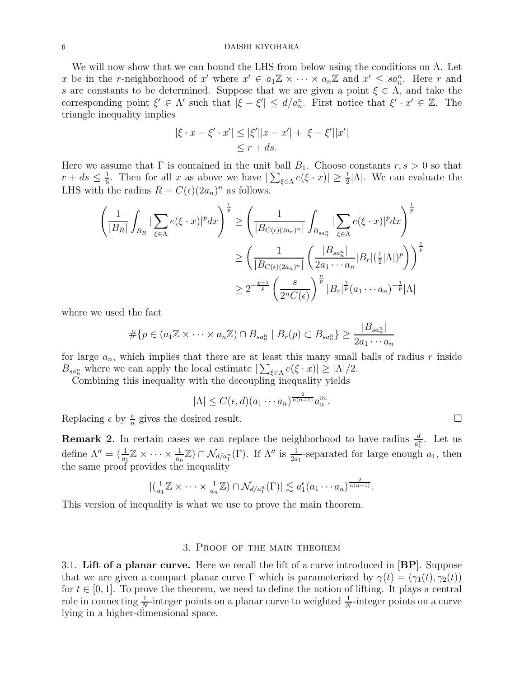#### 6 DAISHI KIYOHARA

We will now show that we can bound the LHS from below using the conditions on Λ. Let x be in the r-neighborhood of x' where  $x' \in a_1 \mathbb{Z} \times \cdots \times a_n \mathbb{Z}$  and  $x' \leq sa_n^n$ . Here r and s are constants to be determined. Suppose that we are given a point  $\xi \in \Lambda$ , and take the corresponding point  $\xi' \in \Lambda'$  such that  $|\xi - \xi'| \leq d/a_n^n$ . First notice that  $\xi' \cdot x' \in \mathbb{Z}$ . The triangle inequality implies

$$
|\xi \cdot x - \xi' \cdot x'| \le |\xi'||x - x'| + |\xi - \xi'||x'|
$$
  
 $\le r + ds.$ 

Here we assume that  $\Gamma$  is contained in the unit ball  $B_1$ . Choose constants  $r, s > 0$  so that  $r + ds \leq \frac{1}{6}$  $\frac{1}{6}$ . Then for all x as above we have  $|\sum_{\xi \in \Lambda} e(\xi \cdot x)| \geq \frac{1}{2} |\Lambda|$ . We can evaluate the LHS with the radius  $R = C(\epsilon)(2a_n)^n$  as follows.

$$
\left(\frac{1}{|B_R|}\int_{B_R}|\sum_{\xi\in\Lambda}e(\xi\cdot x)|^p dx\right)^{\frac{1}{p}} \ge \left(\frac{1}{|B_{C(\epsilon)(2a_n)^n}|}\int_{B_{sa_n^n}}|\sum_{\xi\in\Lambda}e(\xi\cdot x)|^p dx\right)^{\frac{1}{p}}
$$

$$
\ge \left(\frac{1}{|B_{C(\epsilon)(2a_n)^n}|}\left(\frac{|B_{sa_n^n}|}{2a_1\cdots a_n}|B_r|(\frac{1}{2}|\Lambda|)^p\right)\right)^{\frac{1}{p}}
$$

$$
\ge 2^{-\frac{p+1}{p}}\left(\frac{s}{2^nC(\epsilon)}\right)^{\frac{n}{p}}|B_r|^{\frac{1}{p}}(a_1\cdots a_n)^{-\frac{1}{p}}|\Lambda|
$$

where we used the fact

$$
\#\{p \in (a_1 \mathbb{Z} \times \cdots \times a_n \mathbb{Z}) \cap B_{sa_n^n} \mid B_r(p) \subset B_{sa_n^n}\} \geq \frac{|B_{sa_n^n}|}{2a_1 \cdots a_n}
$$

for large  $a_n$ , which implies that there are at least this many small balls of radius r inside  $B_{sa_n^n}$  where we can apply the local estimate  $|\sum_{\xi \in \Lambda} e(\xi \cdot x)| \geq |\Lambda|/2$ .

Combining this inequality with the decoupling inequality yields

$$
|\Lambda| \le C(\epsilon, d)(a_1 \cdots a_n)^{\frac{2}{n(n+1)}} a_n^{n\epsilon}.
$$

Replacing  $\epsilon$  by  $\frac{\epsilon}{n}$  gives the desired result.

**Remark 2.** In certain cases we can replace the neighborhood to have radius  $\frac{d}{a_1^n}$ . Let us define  $\Lambda'' = (\frac{1}{a_1}\mathbb{Z} \times \cdots \times \frac{1}{a_n}\mathbb{Z}) \cap \mathcal{N}_{d/a_1^n}(\Gamma)$ . If  $\Lambda''$  is  $\frac{1}{2a_1}$ -separated for large enough  $a_1$ , then the same proof provides the inequality

$$
\left| \left( \frac{1}{a_1} \mathbb{Z} \times \cdots \times \frac{1}{a_n} \mathbb{Z} \right) \cap \mathcal{N}_{d/a_1^n}(\Gamma) \right| \lesssim a_1^{\epsilon}(a_1 \cdots a_n)^{\frac{2}{n(n+1)}}.
$$

This version of inequality is what we use to prove the main theorem.

### 3. Proof of the main theorem

3.1. Lift of a planar curve. Here we recall the lift of a curve introduced in  $|BP|$ . Suppose that we are given a compact planar curve  $\Gamma$  which is parameterized by  $\gamma(t) = (\gamma_1(t), \gamma_2(t))$ for  $t \in [0, 1]$ . To prove the theorem, we need to define the notion of lifting. It plays a central role in connecting  $\frac{1}{N}$ -integer points on a planar curve to weighted  $\frac{1}{N}$ -integer points on a curve lying in a higher-dimensional space.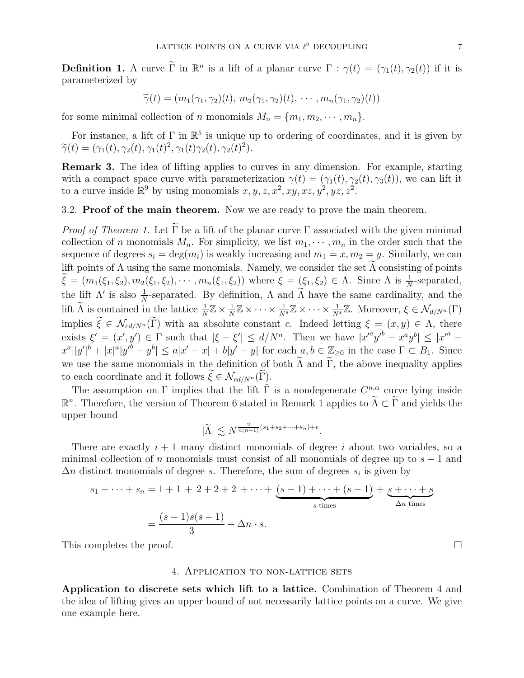**Definition 1.** A curve  $\tilde{\Gamma}$  in  $\mathbb{R}^n$  is a lift of a planar curve  $\Gamma : \gamma(t) = (\gamma_1(t), \gamma_2(t))$  if it is parameterized by

$$
\widetilde{\gamma}(t)=(m_1(\gamma_1,\gamma_2)(t),\,m_2(\gamma_1,\gamma_2)(t),\,\cdots,m_n(\gamma_1,\gamma_2)(t))
$$

for some minimal collection of n monomials  $M_n = \{m_1, m_2, \dots, m_n\}.$ 

For instance, a lift of  $\Gamma$  in  $\mathbb{R}^5$  is unique up to ordering of coordinates, and it is given by  $\widetilde{\gamma}(t) = (\gamma_1(t), \gamma_2(t), \gamma_1(t)^2, \gamma_1(t)\gamma_2(t), \gamma_2(t)^2).$ 

Remark 3. The idea of lifting applies to curves in any dimension. For example, starting with a compact space curve with parameterization  $\gamma(t) = (\gamma_1(t), \gamma_2(t), \gamma_3(t))$ , we can lift it to a curve inside  $\mathbb{R}^9$  by using monomials  $x, y, z, x^2, xy, xz, y^2, yz, z^2$ .

3.2. Proof of the main theorem. Now we are ready to prove the main theorem.

*Proof of Theorem 1.* Let  $\widetilde{\Gamma}$  be a lift of the planar curve  $\Gamma$  associated with the given minimal collection of n monomials  $M_n$ . For simplicity, we list  $m_1, \dots, m_n$  in the order such that the sequence of degrees  $s_i = \deg(m_i)$  is weakly increasing and  $m_1 = x, m_2 = y$ . Similarly, we can lift points of  $\Lambda$  using the same monomials. Namely, we consider the set  $\Lambda$  consisting of points  $\widehat{\xi} = (m_1(\xi_1, \xi_2), m_2(\xi_1, \xi_2), \cdots, m_n(\xi_1, \xi_2))$  where  $\xi = (\xi_1, \xi_2) \in \Lambda$ . Since  $\Lambda$  is  $\frac{1}{N}$ -separated, the lift  $\Lambda'$  is also  $\frac{1}{N}$ -separated. By definition,  $\Lambda$  and  $\tilde{\Lambda}$  have the same cardinality, and the lift  $\widetilde{\Lambda}$  is contained in the lattice  $\frac{1}{N}\mathbb{Z} \times \frac{1}{N}$  $\frac{1}{N}\mathbb{Z}\times\cdots\times\frac{1}{N^{s}}\mathbb{Z}\times\cdots\times\frac{1}{N^{s}}\mathbb{Z}$ . Moreover,  $\xi\in\mathcal{N}_{d/N^{n}}(\Gamma)$ implies  $\tilde{\xi} \in \mathcal{N}_{cd/N^n}(\tilde{\Gamma})$  with an absolute constant c. Indeed letting  $\xi = (x, y) \in \Lambda$ , there exists  $\xi' = (x', y') \in \Gamma$  such that  $|\xi - \xi'| \le d/N^n$ . Then we have  $|x'^a y'^b - x^a y^b| \le |x'^a - x^b|$  $x^a||y'|^b+|x|^a|y'^b-y^b|\leq a|x'-x|+b|y'-y|$  for each  $a, b \in \mathbb{Z}_{\geq 0}$  in the case  $\Gamma \subset B_1$ . Since we use the same monomials in the definition of both  $\widetilde{\Lambda}$  and  $\widetilde{\Gamma}$ , the above inequality applies to each coordinate and it follows  $\xi \in \mathcal{N}_{cd/N^n}(\Gamma)$ .

The assumption on  $\Gamma$  implies that the lift  $\tilde{\Gamma}$  is a nondegenerate  $C^{n,\alpha}$  curve lying inside  $\mathbb{R}^n$ . Therefore, the version of Theorem 6 stated in Remark 1 applies to  $\widetilde{\Lambda} \subset \widetilde{\Gamma}$  and yields the upper bound

$$
|\widetilde{\Lambda}| \lesssim N^{\frac{2}{n(n+1)}(s_1+s_2+\cdots+s_n)+\epsilon}.
$$

There are exactly  $i + 1$  many distinct monomials of degree i about two variables, so a minimal collection of n monomials must consist of all monomials of degree up to  $s - 1$  and  $\Delta n$  distinct monomials of degree s. Therefore, the sum of degrees  $s_i$  is given by

$$
s_1 + \dots + s_n = 1 + 1 + 2 + 2 + 2 + \dots + \underbrace{(s-1) + \dots + (s-1)}_{s \text{ times}} + \underbrace{s + \dots + s}_{\Delta n \text{ times}}
$$

$$
= \frac{(s-1)s(s+1)}{3} + \Delta n \cdot s.
$$

This completes the proof.

#### 4. Application to non-lattice sets

Application to discrete sets which lift to a lattice. Combination of Theorem 4 and the idea of lifting gives an upper bound of not necessarily lattice points on a curve. We give one example here.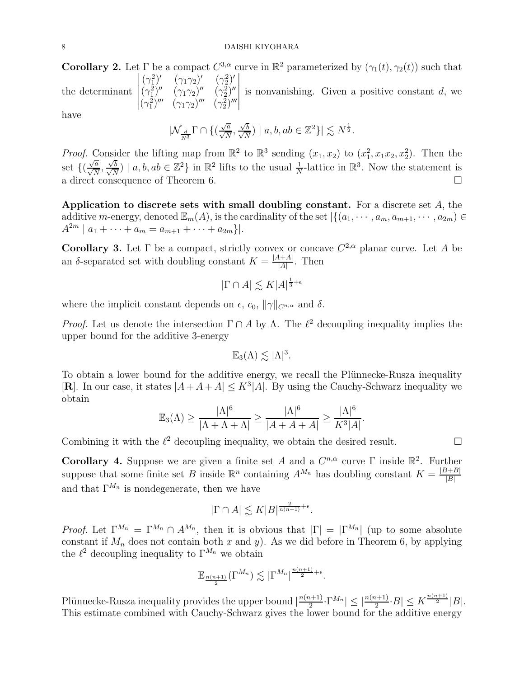**Corollary 2.** Let  $\Gamma$  be a compact  $C^{3,\alpha}$  curve in  $\mathbb{R}^2$  parameterized by  $(\gamma_1(t), \gamma_2(t))$  such that the determinant  $(\gamma_1^2)' \quad (\gamma_1 \gamma_2)' \quad (\gamma_2^2)'$  $(\gamma_1^2)'' \quad (\gamma_1 \gamma_2)'' \quad (\gamma_2^2)''$  $(\gamma_1^2)''' \ (\gamma_1 \gamma_2)''' \ (\gamma_2^2)'''$  is nonvanishing. Given a positive constant  $d$ , we have

$$
|\mathcal{N}_{\frac{d}{N^3}} \Gamma \cap \{(\tfrac{\sqrt{a}}{\sqrt{N}},\tfrac{\sqrt{b}}{\sqrt{N}}) \mid a,b,ab \in \mathbb{Z}^2 \}|\lesssim N^{\frac{1}{2}}.
$$

*Proof.* Consider the lifting map from  $\mathbb{R}^2$  to  $\mathbb{R}^3$  sending  $(x_1, x_2)$  to  $(x_1^2, x_1x_2, x_2^2)$ . Then the set  $\{(\frac{\sqrt{a}}{\sqrt{N}}, \frac{\sqrt{b}}{\sqrt{N}}\})$  $\frac{\sqrt{b}}{\sqrt{v}}$  $(\frac{\overline{b}}{N}) | a, b, ab \in \mathbb{Z}^2$  in  $\mathbb{R}^2$  lifts to the usual  $\frac{1}{N}$ -lattice in  $\mathbb{R}^3$ . Now the statement is a direct consequence of Theorem 6.

Application to discrete sets with small doubling constant. For a discrete set  $A$ , the additive m-energy, denoted  $\mathbb{E}_m(A)$ , is the cardinality of the set  $\left|\{(a_1,\dots,a_m,a_{m+1},\dots,a_{2m})\in$  $A^{2m} | a_1 + \cdots + a_m = a_{m+1} + \cdots + a_{2m} \} |.$ 

**Corollary 3.** Let  $\Gamma$  be a compact, strictly convex or concave  $C^{2,\alpha}$  planar curve. Let A be an  $\delta$ -separated set with doubling constant  $K = \frac{|A+A|}{|A|}$  $\frac{A+A}{|A|}$ . Then

$$
|\Gamma \cap A| \lesssim K|A|^{\frac{1}{3}+\epsilon}
$$

where the implicit constant depends on  $\epsilon$ ,  $c_0$ ,  $\|\gamma\|_{C^{n,\alpha}}$  and  $\delta$ .

*Proof.* Let us denote the intersection  $\Gamma \cap A$  by  $\Lambda$ . The  $\ell^2$  decoupling inequality implies the upper bound for the additive 3-energy

$$
\mathbb{E}_3(\Lambda) \lesssim |\Lambda|^3.
$$

To obtain a lower bound for the additive energy, we recall the Plünnecke-Rusza inequality [**R**]. In our case, it states  $|A + A + A| \leq K^3 |A|$ . By using the Cauchy-Schwarz inequality we obtain

$$
\mathbb{E}_3(\Lambda) \ge \frac{|\Lambda|^6}{|\Lambda + \Lambda + \Lambda|} \ge \frac{|\Lambda|^6}{|A + A + A|} \ge \frac{|\Lambda|^6}{K^3|A|}.
$$

Combining it with the  $\ell^2$  decoupling inequality, we obtain the desired result.

Corollary 4. Suppose we are given a finite set A and a  $C^{n,\alpha}$  curve  $\Gamma$  inside  $\mathbb{R}^2$ . Further suppose that some finite set B inside  $\mathbb{R}^n$  containing  $A^{M_n}$  has doubling constant  $K = \frac{|B+B|}{|B|}$  $|B|$ and that  $\Gamma^{M_n}$  is nondegenerate, then we have

$$
|\Gamma \cap A| \lesssim K|B|^{\frac{2}{n(n+1)}+\epsilon}.
$$

*Proof.* Let  $\Gamma^{M_n} = \Gamma^{M_n} \cap A^{M_n}$ , then it is obvious that  $|\Gamma| = |\Gamma^{M_n}|$  (up to some absolute constant if  $M_n$  does not contain both x and y). As we did before in Theorem 6, by applying the  $\ell^2$  decoupling inequality to  $\Gamma^{M_n}$  we obtain

$$
\mathbb{E}_{\frac{n(n+1)}{2}}(\Gamma^{M_n}) \lesssim |\Gamma^{M_n}|^{\frac{n(n+1)}{2}+\epsilon}.
$$

Plünnecke-Rusza inequality provides the upper bound  $\frac{n(n+1)}{2}$  $\frac{n(n+1)}{2} \cdot \Gamma^{M_n} \leq \left\lfloor \frac{n(n+1)}{2} \cdot B \right\rfloor \leq K^{\frac{n(n+1)}{2}} |B|.$ This estimate combined with Cauchy-Schwarz gives the lower bound for the additive energy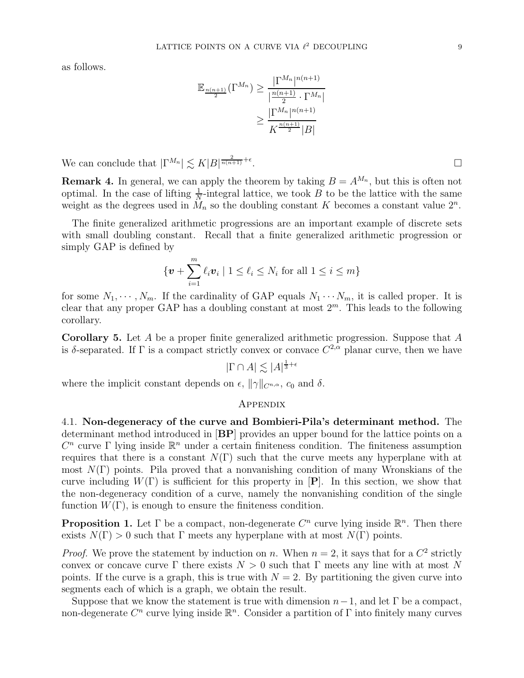as follows.

$$
\mathbb{E}_{\frac{n(n+1)}{2}}(\Gamma^{M_n}) \ge \frac{|\Gamma^{M_n}|^{n(n+1)}}{|\frac{n(n+1)}{2} \cdot \Gamma^{M_n}|} \ge \frac{|\Gamma^{M_n}|^{n(n+1)}}{K^{\frac{n(n+1)}{2}}|B|}
$$

We can conclude that  $|\Gamma^{M_n}| \lesssim K|B|^{\frac{2}{n(n+1)}+\epsilon}$ 

**Remark 4.** In general, we can apply the theorem by taking  $B = A^{M_n}$ , but this is often not optimal. In the case of lifting  $\frac{1}{N}$ -integral lattice, we took B to be the lattice with the same weight as the degrees used in  $\tilde{M}_n$  so the doubling constant K becomes a constant value  $2^n$ .

The finite generalized arithmetic progressions are an important example of discrete sets with small doubling constant. Recall that a finite generalized arithmetic progression or simply GAP is defined by

$$
\{\boldsymbol{v} + \sum_{i=1}^m \ell_i \boldsymbol{v}_i \mid 1 \leq \ell_i \leq N_i \text{ for all } 1 \leq i \leq m\}
$$

for some  $N_1, \dots, N_m$ . If the cardinality of GAP equals  $N_1 \dots N_m$ , it is called proper. It is clear that any proper GAP has a doubling constant at most  $2<sup>m</sup>$ . This leads to the following corollary.

Corollary 5. Let A be a proper finite generalized arithmetic progression. Suppose that A is δ-separated. If  $\Gamma$  is a compact strictly convex or convace  $C^{2,\alpha}$  planar curve, then we have

$$
|\Gamma \cap A| \lesssim |A|^{\frac{1}{3} + \epsilon}
$$

where the implicit constant depends on  $\epsilon$ ,  $\|\gamma\|_{C^{n,\alpha}}$ ,  $c_0$  and  $\delta$ .

## **APPENDIX**

4.1. Non-degeneracy of the curve and Bombieri-Pila's determinant method. The determinant method introduced in [BP] provides an upper bound for the lattice points on a  $C<sup>n</sup>$  curve Γ lying inside  $\mathbb{R}<sup>n</sup>$  under a certain finiteness condition. The finiteness assumption requires that there is a constant  $N(\Gamma)$  such that the curve meets any hyperplane with at most  $N(\Gamma)$  points. Pila proved that a nonvanishing condition of many Wronskians of the curve including  $W(\Gamma)$  is sufficient for this property in  $[\mathbf{P}]$ . In this section, we show that the non-degeneracy condition of a curve, namely the nonvanishing condition of the single function  $W(\Gamma)$ , is enough to ensure the finiteness condition.

**Proposition 1.** Let  $\Gamma$  be a compact, non-degenerate  $C^n$  curve lying inside  $\mathbb{R}^n$ . Then there exists  $N(\Gamma) > 0$  such that  $\Gamma$  meets any hyperplane with at most  $N(\Gamma)$  points.

*Proof.* We prove the statement by induction on n. When  $n = 2$ , it says that for a  $C^2$  strictly convex or concave curve  $\Gamma$  there exists  $N > 0$  such that  $\Gamma$  meets any line with at most N points. If the curve is a graph, this is true with  $N = 2$ . By partitioning the given curve into segments each of which is a graph, we obtain the result.

Suppose that we know the statement is true with dimension  $n-1$ , and let  $\Gamma$  be a compact, non-degenerate  $C^n$  curve lying inside  $\mathbb{R}^n$ . Consider a partition of  $\Gamma$  into finitely many curves

. В последните поставите на селото на селото на селото на селото на селото на селото на селото на селото на се<br>Селото на селото на селото на селото на селото на селото на селото на селото на селото на селото на селото на